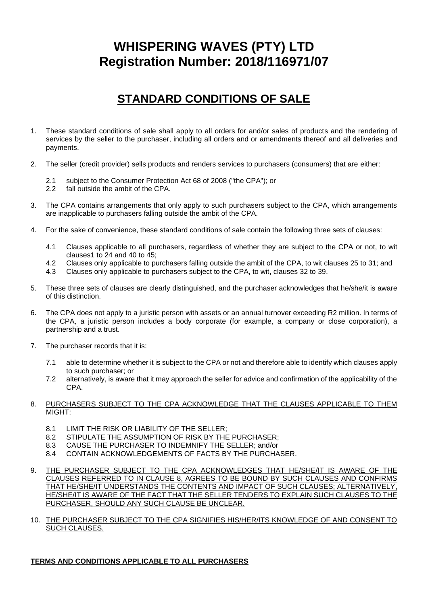# **WHISPERING WAVES (PTY) LTD Registration Number: 2018/116971/07**

## **STANDARD CONDITIONS OF SALE**

- 1. These standard conditions of sale shall apply to all orders for and/or sales of products and the rendering of services by the seller to the purchaser, including all orders and or amendments thereof and all deliveries and payments.
- 2. The seller (credit provider) sells products and renders services to purchasers (consumers) that are either:
	- 2.1 subject to the Consumer Protection Act 68 of 2008 ("the CPA"); or
	- 2.2 fall outside the ambit of the CPA.
- 3. The CPA contains arrangements that only apply to such purchasers subject to the CPA, which arrangements are inapplicable to purchasers falling outside the ambit of the CPA.
- 4. For the sake of convenience, these standard conditions of sale contain the following three sets of clauses:
	- 4.1 Clauses applicable to all purchasers, regardless of whether they are subject to the CPA or not, to wit clauses1 to 24 and 40 to 45;
	- 4.2 Clauses only applicable to purchasers falling outside the ambit of the CPA, to wit clauses 25 to 31; and
	- 4.3 Clauses only applicable to purchasers subject to the CPA, to wit, clauses 32 to 39.
- 5. These three sets of clauses are clearly distinguished, and the purchaser acknowledges that he/she/it is aware of this distinction.
- 6. The CPA does not apply to a juristic person with assets or an annual turnover exceeding R2 million. In terms of the CPA, a juristic person includes a body corporate (for example, a company or close corporation), a partnership and a trust.
- 7. The purchaser records that it is:
	- 7.1 able to determine whether it is subject to the CPA or not and therefore able to identify which clauses apply to such purchaser; or
	- 7.2 alternatively, is aware that it may approach the seller for advice and confirmation of the applicability of the CPA.

## 8. PURCHASERS SUBJECT TO THE CPA ACKNOWLEDGE THAT THE CLAUSES APPLICABLE TO THEM MIGHT:

- 8.1 LIMIT THE RISK OR LIABILITY OF THE SELLER;<br>8.2 STIPULATE THE ASSUMPTION OF RISK BY THE
- STIPULATE THE ASSUMPTION OF RISK BY THE PURCHASER;
- 8.3 CAUSE THE PURCHASER TO INDEMNIFY THE SELLER; and/or
- 8.4 CONTAIN ACKNOWLEDGEMENTS OF FACTS BY THE PURCHASER.
- 9. THE PURCHASER SUBJECT TO THE CPA ACKNOWLEDGES THAT HE/SHE/IT IS AWARE OF THE CLAUSES REFERRED TO IN CLAUSE 8, AGREES TO BE BOUND BY SUCH CLAUSES AND CONFIRMS THAT HE/SHE/IT UNDERSTANDS THE CONTENTS AND IMPACT OF SUCH CLAUSES; ALTERNATIVELY, HE/SHE/IT IS AWARE OF THE FACT THAT THE SELLER TENDERS TO EXPLAIN SUCH CLAUSES TO THE PURCHASER, SHOULD ANY SUCH CLAUSE BE UNCLEAR.
- 10. THE PURCHASER SUBJECT TO THE CPA SIGNIFIES HIS/HER/ITS KNOWLEDGE OF AND CONSENT TO SUCH CLAUSES.

## **TERMS AND CONDITIONS APPLICABLE TO ALL PURCHASERS**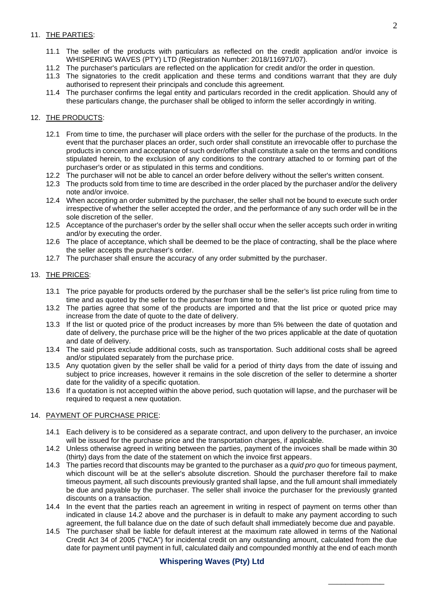## 11. THE PARTIES:

- 11.1 The seller of the products with particulars as reflected on the credit application and/or invoice is WHISPERING WAVES (PTY) LTD (Registration Number: 2018/116971/07).
- 11.2 The purchaser's particulars are reflected on the application for credit and/or the order in question.
- 11.3 The signatories to the credit application and these terms and conditions warrant that they are duly authorised to represent their principals and conclude this agreement.
- 11.4 The purchaser confirms the legal entity and particulars recorded in the credit application. Should any of these particulars change, the purchaser shall be obliged to inform the seller accordingly in writing.

## 12. THE PRODUCTS:

- 12.1 From time to time, the purchaser will place orders with the seller for the purchase of the products. In the event that the purchaser places an order, such order shall constitute an irrevocable offer to purchase the products in concern and acceptance of such order/offer shall constitute a sale on the terms and conditions stipulated herein, to the exclusion of any conditions to the contrary attached to or forming part of the purchaser's order or as stipulated in this terms and conditions.
- 12.2 The purchaser will not be able to cancel an order before delivery without the seller's written consent.
- 12.3 The products sold from time to time are described in the order placed by the purchaser and/or the delivery note and/or invoice.
- 12.4 When accepting an order submitted by the purchaser, the seller shall not be bound to execute such order irrespective of whether the seller accepted the order, and the performance of any such order will be in the sole discretion of the seller.
- 12.5 Acceptance of the purchaser's order by the seller shall occur when the seller accepts such order in writing and/or by executing the order.
- 12.6 The place of acceptance, which shall be deemed to be the place of contracting, shall be the place where the seller accepts the purchaser's order.
- 12.7 The purchaser shall ensure the accuracy of any order submitted by the purchaser.

## 13. THE PRICES:

- 13.1 The price payable for products ordered by the purchaser shall be the seller's list price ruling from time to time and as quoted by the seller to the purchaser from time to time.
- 13.2 The parties agree that some of the products are imported and that the list price or quoted price may increase from the date of quote to the date of delivery.
- 13.3 If the list or quoted price of the product increases by more than 5% between the date of quotation and date of delivery, the purchase price will be the higher of the two prices applicable at the date of quotation and date of delivery.
- 13.4 The said prices exclude additional costs, such as transportation. Such additional costs shall be agreed and/or stipulated separately from the purchase price.
- 13.5 Any quotation given by the seller shall be valid for a period of thirty days from the date of issuing and subject to price increases, however it remains in the sole discretion of the seller to determine a shorter date for the validity of a specific quotation.
- 13.6 If a quotation is not accepted within the above period, such quotation will lapse, and the purchaser will be required to request a new quotation.

## 14. PAYMENT OF PURCHASE PRICE:

- 14.1 Each delivery is to be considered as a separate contract, and upon delivery to the purchaser, an invoice will be issued for the purchase price and the transportation charges, if applicable.
- 14.2 Unless otherwise agreed in writing between the parties, payment of the invoices shall be made within 30 (thirty) days from the date of the statement on which the invoice first appears.
- 14.3 The parties record that discounts may be granted to the purchaser as a *quid pro quo* for timeous payment, which discount will be at the seller's absolute discretion. Should the purchaser therefore fail to make timeous payment, all such discounts previously granted shall lapse, and the full amount shall immediately be due and payable by the purchaser. The seller shall invoice the purchaser for the previously granted discounts on a transaction.
- 14.4 In the event that the parties reach an agreement in writing in respect of payment on terms other than indicated in clause 14.2 above and the purchaser is in default to make any payment according to such agreement, the full balance due on the date of such default shall immediately become due and payable.
- 14.5 The purchaser shall be liable for default interest at the maximum rate allowed in terms of the National Credit Act 34 of 2005 ("NCA") for incidental credit on any outstanding amount, calculated from the due date for payment until payment in full, calculated daily and compounded monthly at the end of each month

\_\_\_\_\_\_\_\_\_\_\_\_\_

## **Whispering Waves (Pty) Ltd**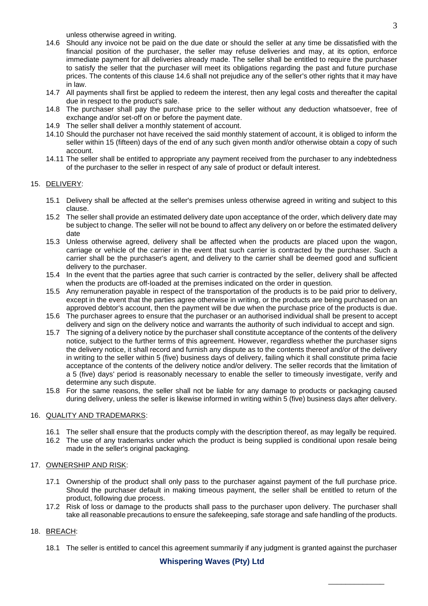unless otherwise agreed in writing.

- 14.6 Should any invoice not be paid on the due date or should the seller at any time be dissatisfied with the financial position of the purchaser, the seller may refuse deliveries and may, at its option, enforce immediate payment for all deliveries already made. The seller shall be entitled to require the purchaser to satisfy the seller that the purchaser will meet its obligations regarding the past and future purchase prices. The contents of this clause 14.6 shall not prejudice any of the seller's other rights that it may have in law.
- 14.7 All payments shall first be applied to redeem the interest, then any legal costs and thereafter the capital due in respect to the product's sale.
- 14.8 The purchaser shall pay the purchase price to the seller without any deduction whatsoever, free of exchange and/or set-off on or before the payment date.
- 14.9 The seller shall deliver a monthly statement of account.
- 14.10 Should the purchaser not have received the said monthly statement of account, it is obliged to inform the seller within 15 (fifteen) days of the end of any such given month and/or otherwise obtain a copy of such account.
- 14.11 The seller shall be entitled to appropriate any payment received from the purchaser to any indebtedness of the purchaser to the seller in respect of any sale of product or default interest.

#### 15. DELIVERY:

- 15.1 Delivery shall be affected at the seller's premises unless otherwise agreed in writing and subject to this clause.
- 15.2 The seller shall provide an estimated delivery date upon acceptance of the order, which delivery date may be subject to change. The seller will not be bound to affect any delivery on or before the estimated delivery date
- 15.3 Unless otherwise agreed, delivery shall be affected when the products are placed upon the wagon, carriage or vehicle of the carrier in the event that such carrier is contracted by the purchaser. Such a carrier shall be the purchaser's agent, and delivery to the carrier shall be deemed good and sufficient delivery to the purchaser.
- 15.4 In the event that the parties agree that such carrier is contracted by the seller, delivery shall be affected when the products are off-loaded at the premises indicated on the order in question.
- 15.5 Any remuneration payable in respect of the transportation of the products is to be paid prior to delivery, except in the event that the parties agree otherwise in writing, or the products are being purchased on an approved debtor's account, then the payment will be due when the purchase price of the products is due.
- 15.6 The purchaser agrees to ensure that the purchaser or an authorised individual shall be present to accept delivery and sign on the delivery notice and warrants the authority of such individual to accept and sign.
- 15.7 The signing of a delivery notice by the purchaser shall constitute acceptance of the contents of the delivery notice, subject to the further terms of this agreement. However, regardless whether the purchaser signs the delivery notice, it shall record and furnish any dispute as to the contents thereof and/or of the delivery in writing to the seller within 5 (five) business days of delivery, failing which it shall constitute prima facie acceptance of the contents of the delivery notice and/or delivery. The seller records that the limitation of a 5 (five) days' period is reasonably necessary to enable the seller to timeously investigate, verify and determine any such dispute.
- 15.8 For the same reasons, the seller shall not be liable for any damage to products or packaging caused during delivery, unless the seller is likewise informed in writing within 5 (five) business days after delivery.

#### 16. QUALITY AND TRADEMARKS:

- 16.1 The seller shall ensure that the products comply with the description thereof, as may legally be required.
- 16.2 The use of any trademarks under which the product is being supplied is conditional upon resale being made in the seller's original packaging.

#### 17. OWNERSHIP AND RISK:

- 17.1 Ownership of the product shall only pass to the purchaser against payment of the full purchase price. Should the purchaser default in making timeous payment, the seller shall be entitled to return of the product, following due process.
- 17.2 Risk of loss or damage to the products shall pass to the purchaser upon delivery. The purchaser shall take all reasonable precautions to ensure the safekeeping, safe storage and safe handling of the products.

#### 18. BREACH:

18.1 The seller is entitled to cancel this agreement summarily if any judgment is granted against the purchaser

\_\_\_\_\_\_\_\_\_\_\_\_\_

## **Whispering Waves (Pty) Ltd**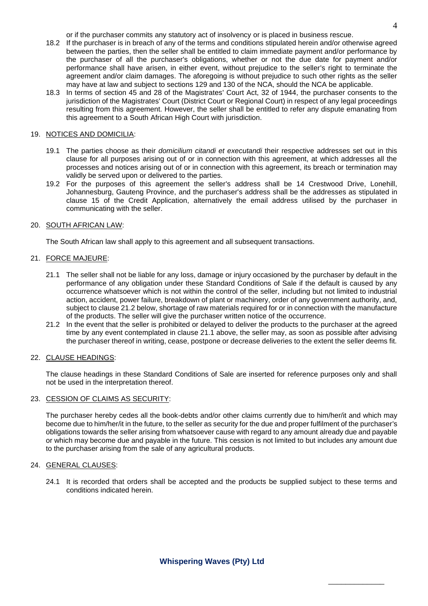or if the purchaser commits any statutory act of insolvency or is placed in business rescue.

- 18.2 If the purchaser is in breach of any of the terms and conditions stipulated herein and/or otherwise agreed between the parties, then the seller shall be entitled to claim immediate payment and/or performance by the purchaser of all the purchaser's obligations, whether or not the due date for payment and/or performance shall have arisen, in either event, without prejudice to the seller's right to terminate the agreement and/or claim damages. The aforegoing is without prejudice to such other rights as the seller may have at law and subject to sections 129 and 130 of the NCA, should the NCA be applicable.
- 18.3 In terms of section 45 and 28 of the Magistrates' Court Act, 32 of 1944, the purchaser consents to the jurisdiction of the Magistrates' Court (District Court or Regional Court) in respect of any legal proceedings resulting from this agreement. However, the seller shall be entitled to refer any dispute emanating from this agreement to a South African High Court with jurisdiction.

#### 19. NOTICES AND DOMICILIA:

- 19.1 The parties choose as their *domicilium citandi et executandi* their respective addresses set out in this clause for all purposes arising out of or in connection with this agreement, at which addresses all the processes and notices arising out of or in connection with this agreement, its breach or termination may validly be served upon or delivered to the parties.
- 19.2 For the purposes of this agreement the seller's address shall be 14 Crestwood Drive, Lonehill, Johannesburg, Gauteng Province, and the purchaser's address shall be the addresses as stipulated in clause 15 of the Credit Application, alternatively the email address utilised by the purchaser in communicating with the seller.

#### 20. SOUTH AFRICAN LAW:

The South African law shall apply to this agreement and all subsequent transactions.

#### 21. FORCE MAJEURE:

- 21.1 The seller shall not be liable for any loss, damage or injury occasioned by the purchaser by default in the performance of any obligation under these Standard Conditions of Sale if the default is caused by any occurrence whatsoever which is not within the control of the seller, including but not limited to industrial action, accident, power failure, breakdown of plant or machinery, order of any government authority, and, subject to clause 21.2 below, shortage of raw materials required for or in connection with the manufacture of the products. The seller will give the purchaser written notice of the occurrence.
- 21.2 In the event that the seller is prohibited or delayed to deliver the products to the purchaser at the agreed time by any event contemplated in clause 21.1 above, the seller may, as soon as possible after advising the purchaser thereof in writing, cease, postpone or decrease deliveries to the extent the seller deems fit.

#### 22. CLAUSE HEADINGS:

The clause headings in these Standard Conditions of Sale are inserted for reference purposes only and shall not be used in the interpretation thereof.

#### 23. CESSION OF CLAIMS AS SECURITY:

The purchaser hereby cedes all the book-debts and/or other claims currently due to him/her/it and which may become due to him/her/it in the future, to the seller as security for the due and proper fulfilment of the purchaser's obligations towards the seller arising from whatsoever cause with regard to any amount already due and payable or which may become due and payable in the future. This cession is not limited to but includes any amount due to the purchaser arising from the sale of any agricultural products.

#### 24. GENERAL CLAUSES:

24.1 It is recorded that orders shall be accepted and the products be supplied subject to these terms and conditions indicated herein.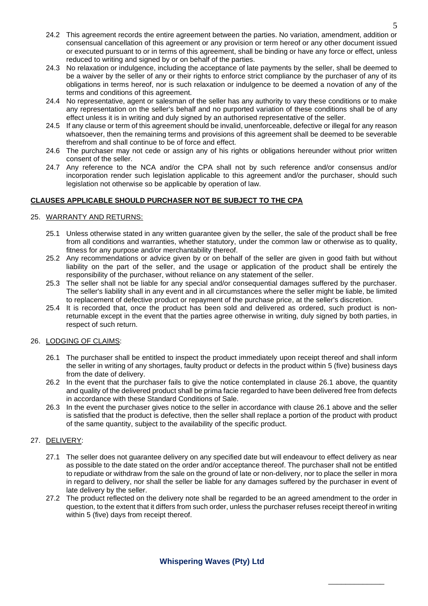- 24.2 This agreement records the entire agreement between the parties. No variation, amendment, addition or consensual cancellation of this agreement or any provision or term hereof or any other document issued or executed pursuant to or in terms of this agreement, shall be binding or have any force or effect, unless reduced to writing and signed by or on behalf of the parties.
- 24.3 No relaxation or indulgence, including the acceptance of late payments by the seller, shall be deemed to be a waiver by the seller of any or their rights to enforce strict compliance by the purchaser of any of its obligations in terms hereof, nor is such relaxation or indulgence to be deemed a novation of any of the terms and conditions of this agreement.
- 24.4 No representative, agent or salesman of the seller has any authority to vary these conditions or to make any representation on the seller's behalf and no purported variation of these conditions shall be of any effect unless it is in writing and duly signed by an authorised representative of the seller.
- 24.5 If any clause or term of this agreement should be invalid, unenforceable, defective or illegal for any reason whatsoever, then the remaining terms and provisions of this agreement shall be deemed to be severable therefrom and shall continue to be of force and effect.
- 24.6 The purchaser may not cede or assign any of his rights or obligations hereunder without prior written consent of the seller.
- 24.7 Any reference to the NCA and/or the CPA shall not by such reference and/or consensus and/or incorporation render such legislation applicable to this agreement and/or the purchaser, should such legislation not otherwise so be applicable by operation of law.

## **CLAUSES APPLICABLE SHOULD PURCHASER NOT BE SUBJECT TO THE CPA**

#### 25. WARRANTY AND RETURNS:

- 25.1 Unless otherwise stated in any written guarantee given by the seller, the sale of the product shall be free from all conditions and warranties, whether statutory, under the common law or otherwise as to quality, fitness for any purpose and/or merchantability thereof.
- 25.2 Any recommendations or advice given by or on behalf of the seller are given in good faith but without liability on the part of the seller, and the usage or application of the product shall be entirely the responsibility of the purchaser, without reliance on any statement of the seller.
- 25.3 The seller shall not be liable for any special and/or consequential damages suffered by the purchaser. The seller's liability shall in any event and in all circumstances where the seller might be liable, be limited to replacement of defective product or repayment of the purchase price, at the seller's discretion.
- 25.4 It is recorded that, once the product has been sold and delivered as ordered, such product is nonreturnable except in the event that the parties agree otherwise in writing, duly signed by both parties, in respect of such return.

## 26. LODGING OF CLAIMS:

- 26.1 The purchaser shall be entitled to inspect the product immediately upon receipt thereof and shall inform the seller in writing of any shortages, faulty product or defects in the product within 5 (five) business days from the date of delivery.
- 26.2 In the event that the purchaser fails to give the notice contemplated in clause 26.1 above, the quantity and quality of the delivered product shall be prima facie regarded to have been delivered free from defects in accordance with these Standard Conditions of Sale.
- 26.3 In the event the purchaser gives notice to the seller in accordance with clause 26.1 above and the seller is satisfied that the product is defective, then the seller shall replace a portion of the product with product of the same quantity, subject to the availability of the specific product.

## 27. DELIVERY:

- 27.1 The seller does not guarantee delivery on any specified date but will endeavour to effect delivery as near as possible to the date stated on the order and/or acceptance thereof. The purchaser shall not be entitled to repudiate or withdraw from the sale on the ground of late or non-delivery, nor to place the seller in mora in regard to delivery, nor shall the seller be liable for any damages suffered by the purchaser in event of late delivery by the seller.
- 27.2 The product reflected on the delivery note shall be regarded to be an agreed amendment to the order in question, to the extent that it differs from such order, unless the purchaser refuses receipt thereof in writing within 5 (five) days from receipt thereof.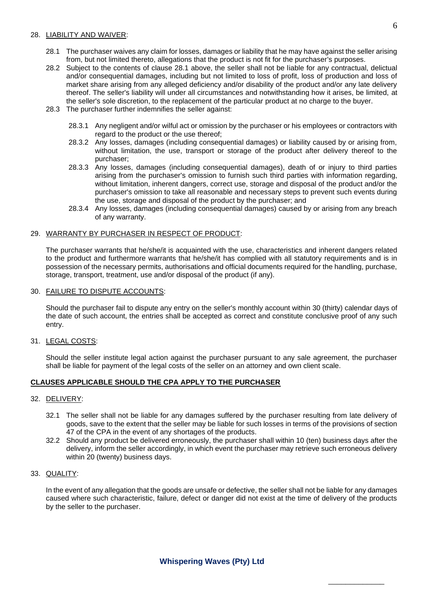#### 28. LIABILITY AND WAIVER:

- 28.1 The purchaser waives any claim for losses, damages or liability that he may have against the seller arising from, but not limited thereto, allegations that the product is not fit for the purchaser's purposes.
- 28.2 Subject to the contents of clause 28.1 above, the seller shall not be liable for any contractual, delictual and/or consequential damages, including but not limited to loss of profit, loss of production and loss of market share arising from any alleged deficiency and/or disability of the product and/or any late delivery thereof. The seller's liability will under all circumstances and notwithstanding how it arises, be limited, at the seller's sole discretion, to the replacement of the particular product at no charge to the buyer.
- 28.3 The purchaser further indemnifies the seller against:
	- 28.3.1 Any negligent and/or wilful act or omission by the purchaser or his employees or contractors with regard to the product or the use thereof;
	- 28.3.2 Any losses, damages (including consequential damages) or liability caused by or arising from, without limitation, the use, transport or storage of the product after delivery thereof to the purchaser;
	- 28.3.3 Any losses, damages (including consequential damages), death of or injury to third parties arising from the purchaser's omission to furnish such third parties with information regarding, without limitation, inherent dangers, correct use, storage and disposal of the product and/or the purchaser's omission to take all reasonable and necessary steps to prevent such events during the use, storage and disposal of the product by the purchaser; and
	- 28.3.4 Any losses, damages (including consequential damages) caused by or arising from any breach of any warranty.

#### 29. WARRANTY BY PURCHASER IN RESPECT OF PRODUCT:

The purchaser warrants that he/she/it is acquainted with the use, characteristics and inherent dangers related to the product and furthermore warrants that he/she/it has complied with all statutory requirements and is in possession of the necessary permits, authorisations and official documents required for the handling, purchase, storage, transport, treatment, use and/or disposal of the product (if any).

#### 30. FAILURE TO DISPUTE ACCOUNTS:

Should the purchaser fail to dispute any entry on the seller's monthly account within 30 (thirty) calendar days of the date of such account, the entries shall be accepted as correct and constitute conclusive proof of any such entry.

31. LEGAL COSTS:

Should the seller institute legal action against the purchaser pursuant to any sale agreement, the purchaser shall be liable for payment of the legal costs of the seller on an attorney and own client scale.

## **CLAUSES APPLICABLE SHOULD THE CPA APPLY TO THE PURCHASER**

#### 32. DELIVERY:

- 32.1 The seller shall not be liable for any damages suffered by the purchaser resulting from late delivery of goods, save to the extent that the seller may be liable for such losses in terms of the provisions of section 47 of the CPA in the event of any shortages of the products.
- 32.2 Should any product be delivered erroneously, the purchaser shall within 10 (ten) business days after the delivery, inform the seller accordingly, in which event the purchaser may retrieve such erroneous delivery within 20 (twenty) business days.

#### 33. QUALITY:

In the event of any allegation that the goods are unsafe or defective, the seller shall not be liable for any damages caused where such characteristic, failure, defect or danger did not exist at the time of delivery of the products by the seller to the purchaser.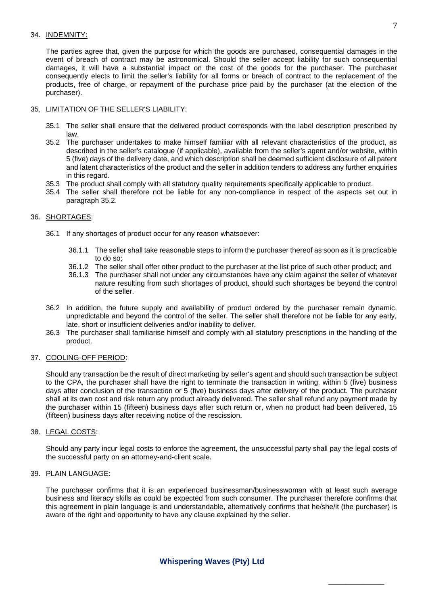#### 34. INDEMNITY:

The parties agree that, given the purpose for which the goods are purchased, consequential damages in the event of breach of contract may be astronomical. Should the seller accept liability for such consequential damages, it will have a substantial impact on the cost of the goods for the purchaser. The purchaser consequently elects to limit the seller's liability for all forms or breach of contract to the replacement of the products, free of charge, or repayment of the purchase price paid by the purchaser (at the election of the purchaser).

#### 35. LIMITATION OF THE SELLER'S LIABILITY:

- 35.1 The seller shall ensure that the delivered product corresponds with the label description prescribed by law.
- 35.2 The purchaser undertakes to make himself familiar with all relevant characteristics of the product, as described in the seller's catalogue (if applicable), available from the seller's agent and/or website, within 5 (five) days of the delivery date, and which description shall be deemed sufficient disclosure of all patent and latent characteristics of the product and the seller in addition tenders to address any further enquiries in this regard.
- 35.3 The product shall comply with all statutory quality requirements specifically applicable to product.
- 35.4 The seller shall therefore not be liable for any non-compliance in respect of the aspects set out in paragraph 35.2.

#### 36. SHORTAGES:

- 36.1 If any shortages of product occur for any reason whatsoever:
	- 36.1.1 The seller shall take reasonable steps to inform the purchaser thereof as soon as it is practicable to do so;
	- 36.1.2 The seller shall offer other product to the purchaser at the list price of such other product; and
	- 36.1.3 The purchaser shall not under any circumstances have any claim against the seller of whatever nature resulting from such shortages of product, should such shortages be beyond the control of the seller.
- 36.2 In addition, the future supply and availability of product ordered by the purchaser remain dynamic, unpredictable and beyond the control of the seller. The seller shall therefore not be liable for any early, late, short or insufficient deliveries and/or inability to deliver.
- 36.3 The purchaser shall familiarise himself and comply with all statutory prescriptions in the handling of the product.

## 37. COOLING-OFF PERIOD:

Should any transaction be the result of direct marketing by seller's agent and should such transaction be subject to the CPA, the purchaser shall have the right to terminate the transaction in writing, within 5 (five) business days after conclusion of the transaction or 5 (five) business days after delivery of the product. The purchaser shall at its own cost and risk return any product already delivered. The seller shall refund any payment made by the purchaser within 15 (fifteen) business days after such return or, when no product had been delivered, 15 (fifteen) business days after receiving notice of the rescission.

## 38. LEGAL COSTS:

Should any party incur legal costs to enforce the agreement, the unsuccessful party shall pay the legal costs of the successful party on an attorney-and-client scale.

#### 39. PLAIN LANGUAGE:

The purchaser confirms that it is an experienced businessman/businesswoman with at least such average business and literacy skills as could be expected from such consumer. The purchaser therefore confirms that this agreement in plain language is and understandable, alternatively confirms that he/she/it (the purchaser) is aware of the right and opportunity to have any clause explained by the seller.

## **Whispering Waves (Pty) Ltd**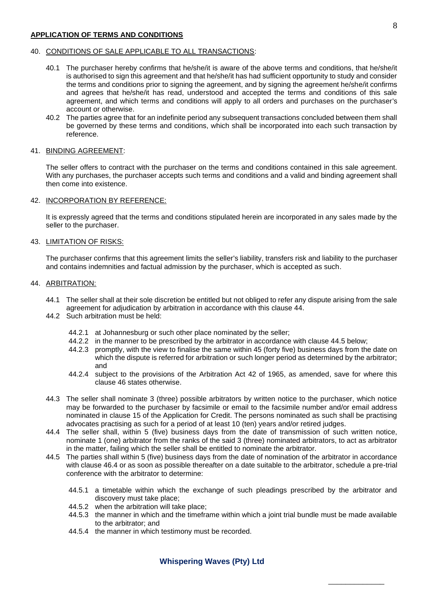#### **APPLICATION OF TERMS AND CONDITIONS**

#### 40. CONDITIONS OF SALE APPLICABLE TO ALL TRANSACTIONS:

- 40.1 The purchaser hereby confirms that he/she/it is aware of the above terms and conditions, that he/she/it is authorised to sign this agreement and that he/she/it has had sufficient opportunity to study and consider the terms and conditions prior to signing the agreement, and by signing the agreement he/she/it confirms and agrees that he/she/it has read, understood and accepted the terms and conditions of this sale agreement, and which terms and conditions will apply to all orders and purchases on the purchaser's account or otherwise.
- 40.2 The parties agree that for an indefinite period any subsequent transactions concluded between them shall be governed by these terms and conditions, which shall be incorporated into each such transaction by reference.

#### 41. BINDING AGREEMENT:

The seller offers to contract with the purchaser on the terms and conditions contained in this sale agreement. With any purchases, the purchaser accepts such terms and conditions and a valid and binding agreement shall then come into existence.

#### 42. INCORPORATION BY REFERENCE:

It is expressly agreed that the terms and conditions stipulated herein are incorporated in any sales made by the seller to the purchaser.

#### 43. LIMITATION OF RISKS:

The purchaser confirms that this agreement limits the seller's liability, transfers risk and liability to the purchaser and contains indemnities and factual admission by the purchaser, which is accepted as such.

#### 44. ARBITRATION:

- 44.1 The seller shall at their sole discretion be entitled but not obliged to refer any dispute arising from the sale agreement for adjudication by arbitration in accordance with this clause 44.
- 44.2 Such arbitration must be held:
	- 44.2.1 at Johannesburg or such other place nominated by the seller;
	- 44.2.2 in the manner to be prescribed by the arbitrator in accordance with clause 44.5 below;
	- 44.2.3 promptly, with the view to finalise the same within 45 (forty five) business days from the date on which the dispute is referred for arbitration or such longer period as determined by the arbitrator; and
	- 44.2.4 subject to the provisions of the Arbitration Act 42 of 1965, as amended, save for where this clause 46 states otherwise.
- 44.3 The seller shall nominate 3 (three) possible arbitrators by written notice to the purchaser, which notice may be forwarded to the purchaser by facsimile or email to the facsimile number and/or email address nominated in clause 15 of the Application for Credit. The persons nominated as such shall be practising advocates practising as such for a period of at least 10 (ten) years and/or retired judges.
- 44.4 The seller shall, within 5 (five) business days from the date of transmission of such written notice, nominate 1 (one) arbitrator from the ranks of the said 3 (three) nominated arbitrators, to act as arbitrator in the matter, failing which the seller shall be entitled to nominate the arbitrator.
- 44.5 The parties shall within 5 (five) business days from the date of nomination of the arbitrator in accordance with clause 46.4 or as soon as possible thereafter on a date suitable to the arbitrator, schedule a pre-trial conference with the arbitrator to determine:
	- 44.5.1 a timetable within which the exchange of such pleadings prescribed by the arbitrator and discovery must take place;
	- 44.5.2 when the arbitration will take place;
	- 44.5.3 the manner in which and the timeframe within which a joint trial bundle must be made available to the arbitrator; and

\_\_\_\_\_\_\_\_\_\_\_\_\_

44.5.4 the manner in which testimony must be recorded.

## **Whispering Waves (Pty) Ltd**